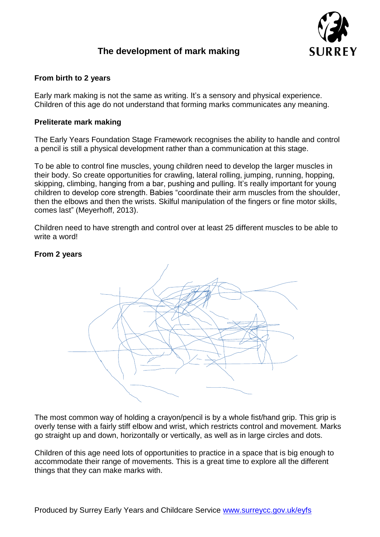

# **The development of mark making**

# **From birth to 2 years**

Early mark making is not the same as writing. It's a sensory and physical experience. Children of this age do not understand that forming marks communicates any meaning.

## **Preliterate mark making**

The Early Years Foundation Stage Framework recognises the ability to handle and control a pencil is still a physical development rather than a communication at this stage.

To be able to control fine muscles, young children need to develop the larger muscles in their body. So create opportunities for crawling, lateral rolling, jumping, running, hopping, skipping, climbing, hanging from a bar, pushing and pulling. It's really important for young children to develop core strength. Babies "coordinate their arm muscles from the shoulder, then the elbows and then the wrists. Skilful manipulation of the fingers or fine motor skills, comes last" (Meyerhoff, 2013).

Children need to have strength and control over at least 25 different muscles to be able to write a word!

#### **From 2 years**



The most common way of holding a crayon/pencil is by a whole fist/hand grip. This grip is overly tense with a fairly stiff elbow and wrist, which restricts control and movement. Marks go straight up and down, horizontally or vertically, as well as in large circles and dots.

Children of this age need lots of opportunities to practice in a space that is big enough to accommodate their range of movements. This is a great time to explore all the different things that they can make marks with.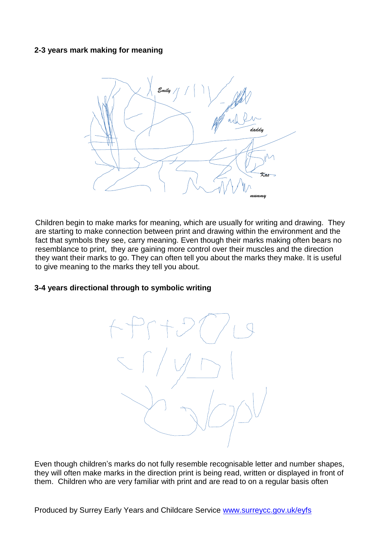# **2-3 years mark making for meaning**



Children begin to make marks for meaning, which are usually for writing and drawing. They are starting to make connection between print and drawing within the environment and the fact that symbols they see, carry meaning. Even though their marks making often bears no resemblance to print, they are gaining more control over their muscles and the direction they want their marks to go. They can often tell you about the marks they make. It is useful to give meaning to the marks they tell you about.

# **3-4 years directional through to symbolic writing**



Even though children's marks do not fully resemble recognisable letter and number shapes, they will often make marks in the direction print is being read, written or displayed in front of them. Children who are very familiar with print and are read to on a regular basis often